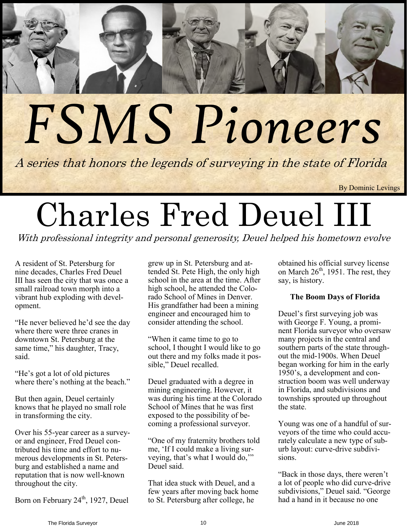# *FSMS Pioneers*

A series that honors the legends of surveying in the state of Florida

By Dominic Levings

# Charles Fred Deuel III

With professional integrity and personal generosity, Deuel helped his hometown evolve

A resident of St. Petersburg for nine decades, Charles Fred Deuel III has seen the city that was once a small railroad town morph into a vibrant hub exploding with development.

"He never believed he'd see the day where there were three cranes in downtown St. Petersburg at the same time," his daughter, Tracy, said.

"He's got a lot of old pictures where there's nothing at the beach."

But then again, Deuel certainly knows that he played no small role in transforming the city.

Over his 55-year career as a surveyor and engineer, Fred Deuel contributed his time and effort to numerous developments in St. Petersburg and established a name and reputation that is now well-known throughout the city.

Born on February 24<sup>th</sup>, 1927, Deuel

grew up in St. Petersburg and attended St. Pete High, the only high school in the area at the time. After high school, he attended the Colorado School of Mines in Denver. His grandfather had been a mining engineer and encouraged him to consider attending the school.

"When it came time to go to school, I thought I would like to go out there and my folks made it possible," Deuel recalled.

Deuel graduated with a degree in mining engineering. However, it was during his time at the Colorado School of Mines that he was first exposed to the possibility of becoming a professional surveyor.

"One of my fraternity brothers told me, 'If I could make a living surveying, that's what I would do,'" Deuel said.

That idea stuck with Deuel, and a few years after moving back home to St. Petersburg after college, he

obtained his official survey license on March  $26<sup>th</sup>$ , 1951. The rest, they say, is history.

# **The Boom Days of Florida**

Deuel's first surveying job was with George F. Young, a prominent Florida surveyor who oversaw many projects in the central and southern parts of the state throughout the mid-1900s. When Deuel began working for him in the early 1950's, a development and construction boom was well underway in Florida, and subdivisions and townships sprouted up throughout the state.

Young was one of a handful of surveyors of the time who could accurately calculate a new type of suburb layout: curve-drive subdivisions.

"Back in those days, there weren't a lot of people who did curve-drive subdivisions," Deuel said. "George had a hand in it because no one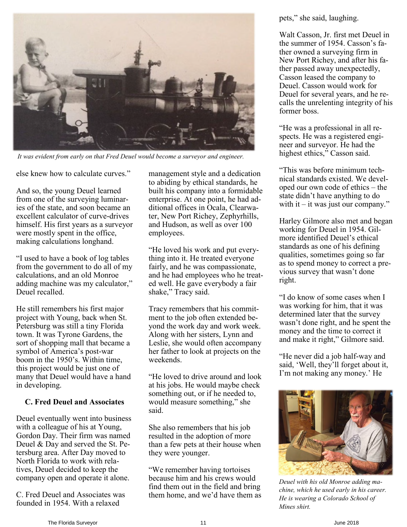

*It was evident from early on that Fred Deuel would become a surveyor and engineer.*

else knew how to calculate curves."

And so, the young Deuel learned from one of the surveying luminaries of the state, and soon became an excellent calculator of curve-drives himself. His first years as a surveyor were mostly spent in the office, making calculations longhand.

"I used to have a book of log tables from the government to do all of my calculations, and an old Monroe adding machine was my calculator," Deuel recalled.

He still remembers his first major project with Young, back when St. Petersburg was still a tiny Florida town. It was Tyrone Gardens, the sort of shopping mall that became a symbol of America's post-war boom in the 1950's. Within time, this project would be just one of many that Deuel would have a hand in developing.

### **C. Fred Deuel and Associates**

Deuel eventually went into business with a colleague of his at Young, Gordon Day. Their firm was named Deuel & Day and served the St. Petersburg area. After Day moved to North Florida to work with relatives, Deuel decided to keep the company open and operate it alone.

C. Fred Deuel and Associates was founded in 1954. With a relaxed

management style and a dedication to abiding by ethical standards, he built his company into a formidable enterprise. At one point, he had additional offices in Ocala, Clearwater, New Port Richey, Zephyrhills, and Hudson, as well as over 100 employees.

"He loved his work and put everything into it. He treated everyone fairly, and he was compassionate, and he had employees who he treated well. He gave everybody a fair shake," Tracy said.

Tracy remembers that his commitment to the job often extended beyond the work day and work week. Along with her sisters, Lynn and Leslie, she would often accompany her father to look at projects on the weekends.

"He loved to drive around and look at his jobs. He would maybe check something out, or if he needed to, would measure something," she said.

She also remembers that his job resulted in the adoption of more than a few pets at their house when they were younger.

"We remember having tortoises because him and his crews would find them out in the field and bring them home, and we'd have them as pets," she said, laughing.

Walt Casson, Jr. first met Deuel in the summer of 1954. Casson's father owned a surveying firm in New Port Richey, and after his father passed away unexpectedly, Casson leased the company to Deuel. Casson would work for Deuel for several years, and he recalls the unrelenting integrity of his former boss.

"He was a professional in all respects. He was a registered engineer and surveyor. He had the highest ethics," Casson said.

"This was before minimum technical standards existed. We developed our own code of ethics – the state didn't have anything to do with it – it was just our company."

Harley Gilmore also met and began working for Deuel in 1954. Gilmore identified Deuel's ethical standards as one of his defining qualities, sometimes going so far as to spend money to correct a previous survey that wasn't done right.

"I do know of some cases when I was working for him, that it was determined later that the survey wasn't done right, and he spent the money and the time to correct it and make it right," Gilmore said.

"He never did a job half-way and said, 'Well, they'll forget about it, I'm not making any money.' He



*Deuel with his old Monroe adding machine, which he used early in his career. He is wearing a Colorado School of Mines shirt.*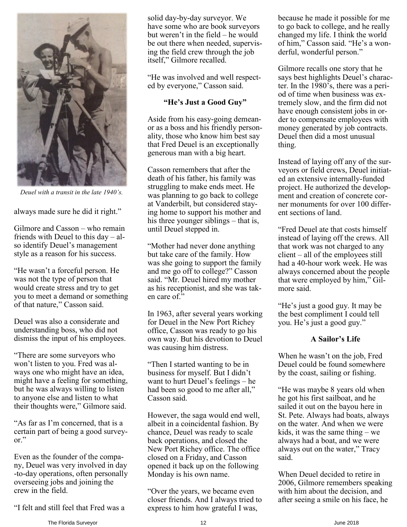

*Deuel with a transit in the late 1940's.*

always made sure he did it right."

Gilmore and Casson – who remain friends with Deuel to this day – also identify Deuel's management style as a reason for his success.

"He wasn't a forceful person. He was not the type of person that would create stress and try to get you to meet a demand or something of that nature," Casson said.

Deuel was also a considerate and understanding boss, who did not dismiss the input of his employees.

"There are some surveyors who won't listen to you. Fred was always one who might have an idea, might have a feeling for something, but he was always willing to listen to anyone else and listen to what their thoughts were," Gilmore said.

"As far as I'm concerned, that is a certain part of being a good surveyor."

Even as the founder of the company, Deuel was very involved in day -to-day operations, often personally overseeing jobs and joining the crew in the field.

"I felt and still feel that Fred was a

solid day-by-day surveyor. We have some who are book surveyors but weren't in the field – he would be out there when needed, supervising the field crew through the job itself," Gilmore recalled.

"He was involved and well respected by everyone," Casson said.

### **"He's Just a Good Guy"**

Aside from his easy-going demeanor as a boss and his friendly personality, those who know him best say that Fred Deuel is an exceptionally generous man with a big heart.

Casson remembers that after the death of his father, his family was struggling to make ends meet. He was planning to go back to college at Vanderbilt, but considered staying home to support his mother and his three younger siblings – that is, until Deuel stepped in.

"Mother had never done anything but take care of the family. How was she going to support the family and me go off to college?" Casson said. "Mr. Deuel hired my mother as his receptionist, and she was taken care of."

In 1963, after several years working for Deuel in the New Port Richey office, Casson was ready to go his own way. But his devotion to Deuel was causing him distress.

"Then I started wanting to be in business for myself. But I didn't want to hurt Deuel's feelings – he had been so good to me after all," Casson said.

However, the saga would end well, albeit in a coincidental fashion. By chance, Deuel was ready to scale back operations, and closed the New Port Richey office. The office closed on a Friday, and Casson opened it back up on the following Monday is his own name.

"Over the years, we became even closer friends. And I always tried to express to him how grateful I was,

because he made it possible for me to go back to college, and he really changed my life. I think the world of him," Casson said. "He's a wonderful, wonderful person."

Gilmore recalls one story that he says best highlights Deuel's character. In the 1980's, there was a period of time when business was extremely slow, and the firm did not have enough consistent jobs in order to compensate employees with money generated by job contracts. Deuel then did a most unusual thing.

Instead of laying off any of the surveyors or field crews, Deuel initiated an extensive internally-funded project. He authorized the development and creation of concrete corner monuments for over 100 different sections of land.

"Fred Deuel ate that costs himself instead of laying off the crews. All that work was not charged to any client – all of the employees still had a 40-hour work week. He was always concerned about the people that were employed by him," Gilmore said.

"He's just a good guy. It may be the best compliment I could tell you. He's just a good guy."

### **A Sailor's Life**

When he wasn't on the job, Fred Deuel could be found somewhere by the coast, sailing or fishing.

"He was maybe 8 years old when he got his first sailboat, and he sailed it out on the bayou here in St. Pete. Always had boats, always on the water. And when we were kids, it was the same thing – we always had a boat, and we were always out on the water," Tracy said.

When Deuel decided to retire in 2006, Gilmore remembers speaking with him about the decision, and after seeing a smile on his face, he